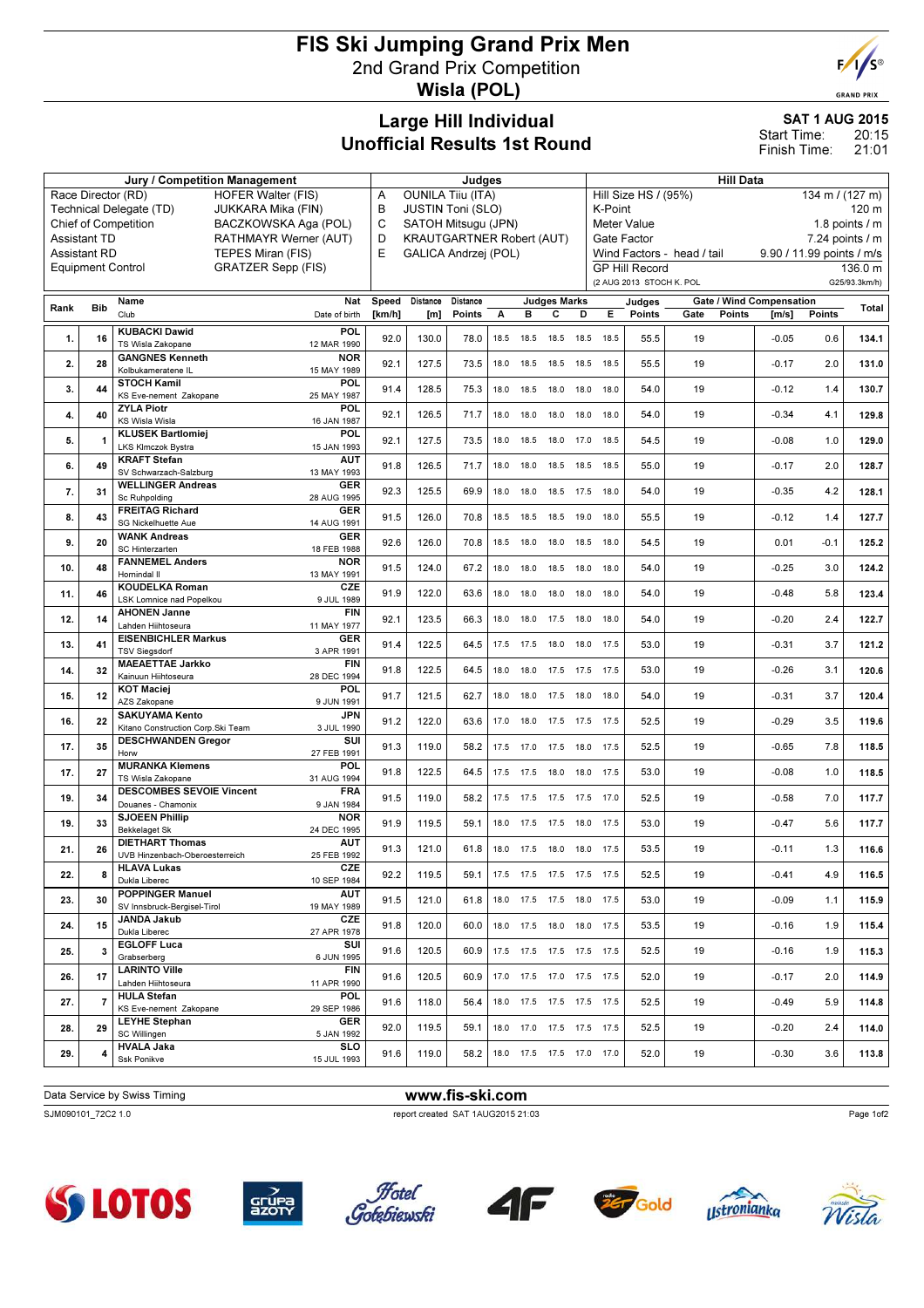## FIS Ski Jumping Grand Prix Men 2nd Grand Prix Competition Wisla (POL)



**GRAND PRIX** 

## Large Hill Individual Unofficial Results 1st Round

SAT 1 AUG 2015 20:15 21:01 Start Time: Finish Time:

|                                                                                          |                          | <b>Jury / Competition Management</b>                                              |                    | Judges                                                        |                   |      |                              |                     |      |                                                                                           | <b>Hill Data</b>                |                                 |                 |        |               |  |  |
|------------------------------------------------------------------------------------------|--------------------------|-----------------------------------------------------------------------------------|--------------------|---------------------------------------------------------------|-------------------|------|------------------------------|---------------------|------|-------------------------------------------------------------------------------------------|---------------------------------|---------------------------------|-----------------|--------|---------------|--|--|
|                                                                                          |                          | Race Director (RD)<br><b>HOFER Walter (FIS)</b>                                   | A                  | <b>OUNILA Tiiu (ITA)</b>                                      |                   |      |                              |                     |      | Hill Size HS / (95%)<br>134 m / (127 m)                                                   |                                 |                                 |                 |        |               |  |  |
| Technical Delegate (TD)<br>JUKKARA Mika (FIN)                                            |                          |                                                                                   |                    | в<br><b>JUSTIN Toni (SLO)</b><br>C                            |                   |      |                              |                     |      |                                                                                           | K-Point<br>120 m                |                                 |                 |        |               |  |  |
| <b>Chief of Competition</b><br>BACZKOWSKA Aga (POL)                                      |                          |                                                                                   |                    | SATOH Mitsugu (JPN)<br>D                                      |                   |      |                              |                     |      |                                                                                           | 1.8 points $/$ m<br>Meter Value |                                 |                 |        |               |  |  |
| <b>Assistant TD</b><br>RATHMAYR Werner (AUT)<br>TEPES Miran (FIS)<br><b>Assistant RD</b> |                          |                                                                                   |                    | <b>KRAUTGARTNER Robert (AUT)</b><br>E<br>GALICA Andrzej (POL) |                   |      |                              |                     |      | Gate Factor<br>7.24 points / m<br>Wind Factors - head / tail<br>9.90 / 11.99 points / m/s |                                 |                                 |                 |        |               |  |  |
|                                                                                          | <b>Equipment Control</b> | <b>GRATZER Sepp (FIS)</b>                                                         |                    |                                                               |                   |      |                              |                     |      |                                                                                           | <b>GP Hill Record</b>           |                                 |                 |        | 136.0 m       |  |  |
|                                                                                          |                          |                                                                                   |                    |                                                               |                   |      |                              |                     |      |                                                                                           | (2 AUG 2013 STOCH K. POL        |                                 |                 |        | G25/93.3km/h) |  |  |
|                                                                                          |                          | Name                                                                              | Nat<br>Speed       |                                                               | Distance Distance |      |                              | <b>Judges Marks</b> |      |                                                                                           | Judges                          | <b>Gate / Wind Compensation</b> |                 |        |               |  |  |
| Rank                                                                                     | <b>Bib</b>               | Club<br>Date of birth                                                             | [km/h]             | [m]                                                           | Points            | A    | в                            | с                   | D    | E.                                                                                        | Points                          | Gate<br><b>Points</b>           | $\mathsf{Im/s}$ | Points | Total         |  |  |
| 1.                                                                                       | 16                       | <b>KUBACKI Dawid</b><br>POL                                                       | 92.0               | 130.0                                                         | 78.0              | 18.5 | 18.5                         | 18.5                | 18.5 | 18.5                                                                                      | 55.5                            | 19                              | $-0.05$         | 0.6    | 134.1         |  |  |
|                                                                                          |                          | TS Wisla Zakopane<br>12 MAR 1990                                                  |                    |                                                               |                   |      |                              |                     |      |                                                                                           |                                 |                                 |                 |        |               |  |  |
| 2.                                                                                       | 28                       | <b>GANGNES Kenneth</b><br><b>NOR</b><br>Kolbukameratene IL<br>15 MAY 1989         | 92.1               | 127.5                                                         | 73.5              | 18.0 | 18.5                         | 18.5                | 18.5 | 18.5                                                                                      | 55.5                            | 19                              | $-0.17$         | 2.0    | 131.0         |  |  |
| 3.                                                                                       | 44                       | <b>STOCH Kamil</b><br>POL                                                         | 91.4               | 128.5                                                         | 75.3              |      | 18.0  18.5  18.0  18.0       |                     |      | 18.0                                                                                      | 54.0                            | 19                              | $-0.12$         | 1.4    | 130.7         |  |  |
|                                                                                          |                          | KS Eve-nement Zakopane<br>25 MAY 1987                                             |                    |                                                               |                   |      |                              |                     |      |                                                                                           |                                 |                                 |                 |        |               |  |  |
| 4.                                                                                       | 40                       | <b>ZYLA Piotr</b><br>POL<br><b>KS Wisla Wisla</b><br>16 JAN 1987                  | 92.1               | 126.5                                                         | 71.7              | 18.0 | 18.0                         | 18.0 18.0           |      | 18.0                                                                                      | 54.0                            | 19                              | $-0.34$         | 4.1    | 129.8         |  |  |
| 5.                                                                                       | $\mathbf{1}$             | <b>KLUSEK Bartlomiej</b><br>POL                                                   | 92.1               | 127.5                                                         | 73.5              | 18.0 | 18.5                         | 18.0 17.0           |      | 18.5                                                                                      | 54.5                            | 19                              | $-0.08$         | 1.0    | 129.0         |  |  |
|                                                                                          |                          | LKS Klmczok Bystra<br>15 JAN 1993<br><b>KRAFT Stefan</b><br><b>AUT</b>            |                    |                                                               |                   |      |                              |                     |      |                                                                                           |                                 |                                 |                 |        |               |  |  |
| 6.                                                                                       | 49                       | SV Schwarzach-Salzburg<br>13 MAY 1993                                             | 91.8               | 126.5                                                         | 71.7              | 18.0 | 18.0                         | 18.5                | 18.5 | 18.5                                                                                      | 55.0                            | 19                              | $-0.17$         | 2.0    | 128.7         |  |  |
| 7.                                                                                       | 31                       | <b>WELLINGER Andreas</b><br><b>GER</b>                                            | 92.3               | 125.5                                                         | 69.9              | 18.0 | 18.0                         | 18.5 17.5           |      | 18.0                                                                                      | 54.0                            | 19                              | $-0.35$         | 4.2    | 128.1         |  |  |
|                                                                                          |                          | Sc Ruhpolding<br>28 AUG 1995<br><b>FREITAG Richard</b><br><b>GER</b>              |                    |                                                               |                   |      |                              |                     |      |                                                                                           |                                 |                                 |                 |        |               |  |  |
| 8.                                                                                       | 43                       | SG Nickelhuette Aue<br>14 AUG 1991                                                | 91.5               | 126.0                                                         | 70.8              | 18.5 | 18.5                         | 18.5 19.0           |      | 18.0                                                                                      | 55.5                            | 19                              | $-0.12$         | 1.4    | 127.7         |  |  |
| 9.                                                                                       | 20                       | <b>WANK Andreas</b><br><b>GER</b>                                                 | 92.6               | 126.0                                                         | 70.8              | 18.5 | 18.0                         | 18.0                | 18.5 | 18.0                                                                                      | 54.5                            | 19                              | 0.01            | $-0.1$ | 125.2         |  |  |
|                                                                                          |                          | SC Hinterzarten<br>18 FEB 1988<br><b>FANNEMEL Anders</b><br><b>NOR</b>            |                    |                                                               |                   |      |                              |                     |      |                                                                                           |                                 |                                 |                 |        |               |  |  |
| 10.                                                                                      | 48                       | Hornindal II<br>13 MAY 1991                                                       | 91.5               | 124.0                                                         | 67.2              | 18.0 | 18.0                         | 18.5                | 18.0 | 18.0                                                                                      | 54.0                            | 19                              | $-0.25$         | 3.0    | 124.2         |  |  |
| 11.                                                                                      | 46                       | <b>KOUDELKA Roman</b><br><b>CZE</b>                                               | 91.9               | 122.0                                                         | 63.6              |      | 18.0 18.0 18.0 18.0          |                     |      | 18.0                                                                                      | 54.0                            | 19                              | $-0.48$         | 5.8    | 123.4         |  |  |
|                                                                                          |                          | LSK Lomnice nad Popelkou<br>9 JUL 1989<br><b>AHONEN Janne</b>                     | <b>FIN</b>         |                                                               |                   |      |                              |                     |      |                                                                                           |                                 |                                 |                 |        |               |  |  |
| 12.                                                                                      | 14                       | Lahden Hiihtoseura<br>11 MAY 1977                                                 | 92.1               | 123.5                                                         | 66.3              | 18.0 | 18.0                         | 17.5                | 18.0 | 18.0                                                                                      | 54.0                            | 19                              | $-0.20$         | 2.4    | 122.7         |  |  |
| 13.                                                                                      | 41                       | <b>EISENBICHLER Markus</b><br><b>GER</b><br><b>TSV Siegsdorf</b><br>3 APR 1991    | 91.4               | 122.5                                                         | 64.5              |      | 17.5 17.5                    | 18.0                | 18.0 | 17.5                                                                                      | 53.0                            | 19                              | $-0.31$         | 3.7    | 121.2         |  |  |
|                                                                                          |                          | <b>MAEAETTAE Jarkko</b>                                                           | <b>FIN</b>         |                                                               |                   |      |                              |                     |      |                                                                                           |                                 |                                 |                 |        |               |  |  |
| 14.                                                                                      | 32                       | Kainuun Hiihtoseura<br>28 DEC 1994                                                | 91.8               | 122.5                                                         | 64.5              | 18.0 | 18.0                         | 17.5 17.5           |      | 17.5                                                                                      | 53.0                            | 19                              | $-0.26$         | 3.1    | 120.6         |  |  |
| 15.                                                                                      | 12                       | POL<br><b>KOT Maciej</b><br>AZS Zakopane<br>9 JUN 1991                            | 91.7               | 121.5                                                         | 62.7              |      | 18.0 18.0 17.5 18.0          |                     |      | 18.0                                                                                      | 54.0                            | 19                              | $-0.31$         | 3.7    | 120.4         |  |  |
| 16.                                                                                      | 22                       | <b>SAKUYAMA Kento</b>                                                             | JPN<br>91.2        | 122.0                                                         | 63.6              | 17.0 | 18.0                         | 17.5 17.5           |      | 17.5                                                                                      | 52.5                            | 19                              | $-0.29$         | 3.5    | 119.6         |  |  |
|                                                                                          |                          | 3 JUL 1990<br>Kitano Construction Corp. Ski Team                                  |                    |                                                               |                   |      |                              |                     |      |                                                                                           |                                 |                                 |                 |        |               |  |  |
| 17.                                                                                      | 35                       | <b>DESCHWANDEN Gregor</b><br>Horw<br>27 FEB 1991                                  | SUI<br>91.3        | 119.0                                                         | 58.2              |      | 17.5 17.0                    | 17.5                | 18.0 | 17.5                                                                                      | 52.5                            | 19                              | $-0.65$         | 7.8    | 118.5         |  |  |
| 17.                                                                                      | 27                       | POL<br><b>MURANKA Klemens</b>                                                     | 91.8               | 122.5                                                         | 64.5              |      | 17.5 17.5                    | 18.0 18.0           |      | 17.5                                                                                      | 53.0                            | 19                              | $-0.08$         | 1.0    | 118.5         |  |  |
|                                                                                          |                          | TS Wisla Zakopane<br>31 AUG 1994                                                  |                    |                                                               |                   |      |                              |                     |      |                                                                                           |                                 |                                 |                 |        |               |  |  |
| 19.                                                                                      | 34                       | <b>DESCOMBES SEVOIE Vincent</b><br><b>FRA</b><br>Douanes - Chamonix<br>9 JAN 1984 | 91.5               | 119.0                                                         | 58.2              |      | 17.5 17.5 17.5 17.5 17.0     |                     |      |                                                                                           | 52.5                            | 19                              | $-0.58$         | 7.0    | 117.7         |  |  |
| 19.                                                                                      | 33                       | <b>SJOEEN Phillip</b><br><b>NOR</b>                                               | 91.9               | 119.5                                                         | 59.1              | 18.0 | 17.5                         | 17.5 18.0           |      | 17.5                                                                                      | 53.0                            | 19                              | $-0.47$         | 5.6    | 117.7         |  |  |
|                                                                                          |                          | <b>Bekkelaget Sk</b><br>24 DEC 1995<br><b>DIETHART Thomas</b><br><b>AUT</b>       |                    |                                                               |                   |      |                              |                     |      |                                                                                           |                                 |                                 |                 |        |               |  |  |
| 21.                                                                                      | 26                       | UVB Hinzenbach-Oberoesterreich<br>25 FEB 1992                                     | 91.3               | 121.0                                                         | 61.8              |      | 18.0 17.5 18.0 18.0          |                     |      | 17.5                                                                                      | 53.5                            | 19                              | $-0.11$         | 1.3    | 116.6         |  |  |
| 22.                                                                                      | 8                        | CZE<br><b>HLAVA Lukas</b>                                                         | 92.2               | 119.5                                                         | 59.1              |      | 17.5 17.5 17.5 17.5 17.5     |                     |      |                                                                                           | 52.5                            | 19                              | $-0.41$         | 4.9    | 116.5         |  |  |
|                                                                                          |                          | Dukla Liberec<br>10 SEP 1984<br><b>POPPINGER Manuel</b><br><b>AUT</b>             |                    |                                                               |                   |      |                              |                     |      |                                                                                           |                                 |                                 |                 |        |               |  |  |
| 23.                                                                                      | 30                       | SV Innsbruck-Bergisel-Tirol<br>19 MAY 1989                                        | 91.5               | 121.0                                                         | 61.8              |      | 18.0 17.5 17.5 18.0 17.5     |                     |      |                                                                                           | 53.0                            | 19                              | $-0.09$         | 1.1    | 115.9         |  |  |
| 24.                                                                                      | 15                       | CZE<br><b>JANDA Jakub</b>                                                         | 91.8               | 120.0                                                         | 60.0              |      | 18.0 17.5 18.0 18.0 17.5     |                     |      |                                                                                           | 53.5                            | 19                              | $-0.16$         | 1.9    | 115.4         |  |  |
|                                                                                          |                          | Dukla Liberec<br>27 APR 1978<br><b>EGLOFF Luca</b>                                | SUI                |                                                               |                   |      |                              |                     |      |                                                                                           |                                 |                                 |                 |        |               |  |  |
| 25.                                                                                      | 3                        | Grabserberg<br>6 JUN 1995                                                         | 91.6               | 120.5                                                         | 60.9              |      | 17.5 17.5 17.5 17.5 17.5     |                     |      |                                                                                           | 52.5                            | 19                              | $-0.16$         | 1.9    | 115.3         |  |  |
| 26.                                                                                      | 17                       | <b>LARINTO Ville</b><br>Lahden Hiihtoseura<br>11 APR 1990                         | <b>FIN</b><br>91.6 | 120.5                                                         | 60.9              |      | 17.0  17.5  17.0  17.5  17.5 |                     |      |                                                                                           | 52.0                            | 19                              | $-0.17$         | 2.0    | 114.9         |  |  |
|                                                                                          |                          | <b>HULA Stefan</b><br><b>POL</b>                                                  |                    |                                                               |                   |      |                              |                     |      |                                                                                           |                                 |                                 |                 |        |               |  |  |
| 27.                                                                                      | 7                        | 29 SEP 1986<br>KS Eve-nement Zakopane                                             | 91.6               | 118.0                                                         | 56.4              |      | 18.0 17.5 17.5 17.5 17.5     |                     |      |                                                                                           | 52.5                            | 19                              | $-0.49$         | 5.9    | 114.8         |  |  |
| 28.                                                                                      | 29                       | <b>LEYHE Stephan</b><br>GER<br>SC Willingen<br>5 JAN 1992                         | 92.0               | 119.5                                                         | 59.1              |      | 18.0 17.0 17.5 17.5 17.5     |                     |      |                                                                                           | 52.5                            | 19                              | $-0.20$         | 2.4    | 114.0         |  |  |
|                                                                                          | 4                        | <b>HVALA Jaka</b><br><b>SLO</b>                                                   | 91.6               |                                                               | 58.2              |      | 18.0 17.5 17.5 17.0 17.0     |                     |      |                                                                                           | 52.0                            |                                 |                 | 3.6    |               |  |  |
| 29.                                                                                      |                          | Ssk Ponikve<br>15 JUL 1993                                                        |                    | 119.0                                                         |                   |      |                              |                     |      |                                                                                           |                                 | 19                              | $-0.30$         |        | 113.8         |  |  |

Data Service by Swiss Timing **www.fis-ski.com** 

SJM090101\_72C2 1.0 report created SAT 1AUG2015 21:03

Gold